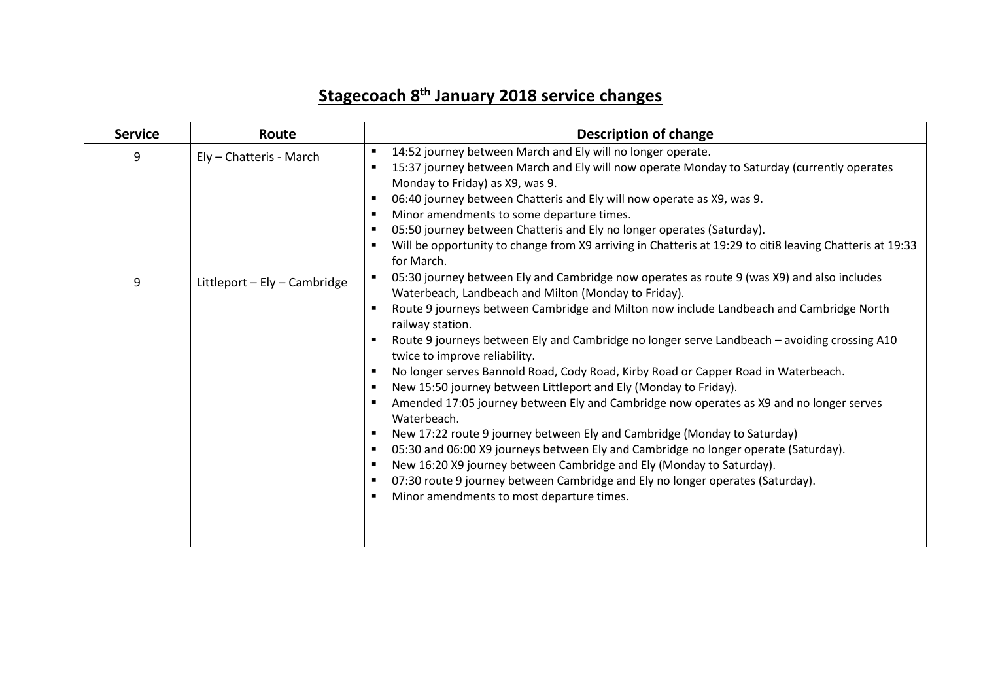## **Stagecoach 8 th January 2018 service changes**

| <b>Service</b> | Route                        | <b>Description of change</b>                                                                                                                                                                                                                                                                                                                                                                                                                                                                                                                                                                                                                                                                                                                                                                                                                                                                                                                                                                                                                                                         |
|----------------|------------------------------|--------------------------------------------------------------------------------------------------------------------------------------------------------------------------------------------------------------------------------------------------------------------------------------------------------------------------------------------------------------------------------------------------------------------------------------------------------------------------------------------------------------------------------------------------------------------------------------------------------------------------------------------------------------------------------------------------------------------------------------------------------------------------------------------------------------------------------------------------------------------------------------------------------------------------------------------------------------------------------------------------------------------------------------------------------------------------------------|
| 9              | Ely - Chatteris - March      | 14:52 journey between March and Ely will no longer operate.<br>15:37 journey between March and Ely will now operate Monday to Saturday (currently operates<br>Monday to Friday) as X9, was 9.<br>06:40 journey between Chatteris and Ely will now operate as X9, was 9.<br>$\blacksquare$<br>Minor amendments to some departure times.<br>$\blacksquare$<br>05:50 journey between Chatteris and Ely no longer operates (Saturday).<br>Will be opportunity to change from X9 arriving in Chatteris at 19:29 to citi8 leaving Chatteris at 19:33<br>for March.                                                                                                                                                                                                                                                                                                                                                                                                                                                                                                                         |
| 9              | Littleport - Ely - Cambridge | 05:30 journey between Ely and Cambridge now operates as route 9 (was X9) and also includes<br>Waterbeach, Landbeach and Milton (Monday to Friday).<br>Route 9 journeys between Cambridge and Milton now include Landbeach and Cambridge North<br>railway station.<br>Route 9 journeys between Ely and Cambridge no longer serve Landbeach - avoiding crossing A10<br>twice to improve reliability.<br>No longer serves Bannold Road, Cody Road, Kirby Road or Capper Road in Waterbeach.<br>New 15:50 journey between Littleport and Ely (Monday to Friday).<br>Amended 17:05 journey between Ely and Cambridge now operates as X9 and no longer serves<br>Waterbeach.<br>New 17:22 route 9 journey between Ely and Cambridge (Monday to Saturday)<br>05:30 and 06:00 X9 journeys between Ely and Cambridge no longer operate (Saturday).<br>$\blacksquare$<br>New 16:20 X9 journey between Cambridge and Ely (Monday to Saturday).<br>$\blacksquare$<br>07:30 route 9 journey between Cambridge and Ely no longer operates (Saturday).<br>Minor amendments to most departure times. |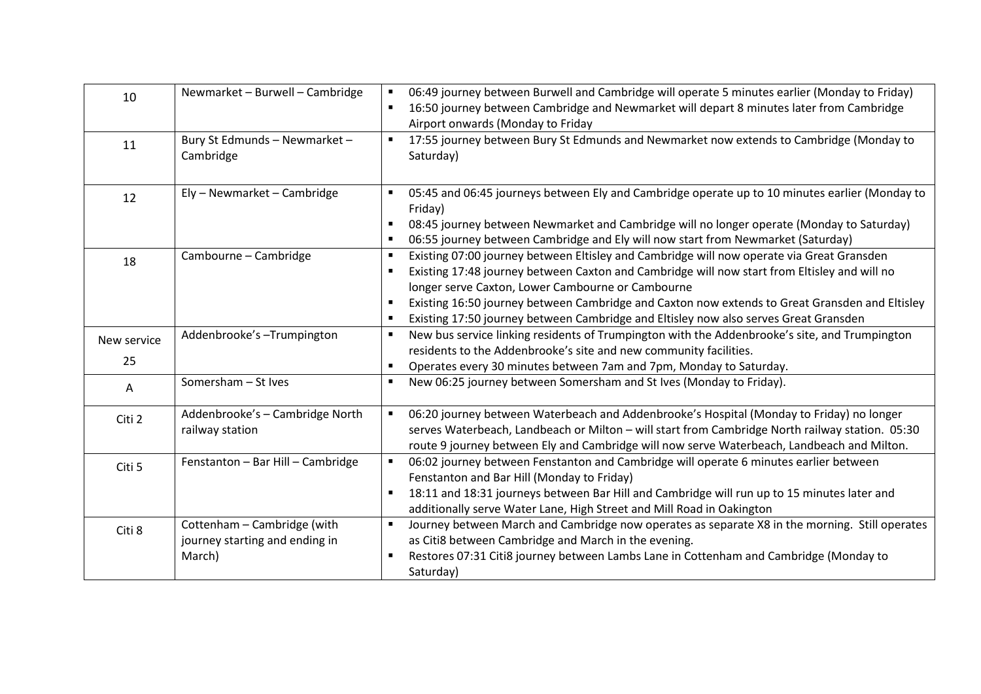| 10                | Newmarket - Burwell - Cambridge                                         | 06:49 journey between Burwell and Cambridge will operate 5 minutes earlier (Monday to Friday)<br>16:50 journey between Cambridge and Newmarket will depart 8 minutes later from Cambridge<br>Airport onwards (Monday to Friday                                                                                                                                                                                                           |
|-------------------|-------------------------------------------------------------------------|------------------------------------------------------------------------------------------------------------------------------------------------------------------------------------------------------------------------------------------------------------------------------------------------------------------------------------------------------------------------------------------------------------------------------------------|
| 11                | Bury St Edmunds - Newmarket -<br>Cambridge                              | 17:55 journey between Bury St Edmunds and Newmarket now extends to Cambridge (Monday to<br>$\blacksquare$<br>Saturday)                                                                                                                                                                                                                                                                                                                   |
| 12                | Ely - Newmarket - Cambridge                                             | 05:45 and 06:45 journeys between Ely and Cambridge operate up to 10 minutes earlier (Monday to<br>$\blacksquare$<br>Friday)<br>08:45 journey between Newmarket and Cambridge will no longer operate (Monday to Saturday)<br>06:55 journey between Cambridge and Ely will now start from Newmarket (Saturday)                                                                                                                             |
| 18                | Cambourne - Cambridge                                                   | Existing 07:00 journey between Eltisley and Cambridge will now operate via Great Gransden<br>Existing 17:48 journey between Caxton and Cambridge will now start from Eltisley and will no<br>longer serve Caxton, Lower Cambourne or Cambourne<br>Existing 16:50 journey between Cambridge and Caxton now extends to Great Gransden and Eltisley<br>Existing 17:50 journey between Cambridge and Eltisley now also serves Great Gransden |
| New service<br>25 | Addenbrooke's-Trumpington                                               | New bus service linking residents of Trumpington with the Addenbrooke's site, and Trumpington<br>residents to the Addenbrooke's site and new community facilities.<br>Operates every 30 minutes between 7am and 7pm, Monday to Saturday.                                                                                                                                                                                                 |
| Α                 | Somersham - St Ives                                                     | New 06:25 journey between Somersham and St Ives (Monday to Friday).                                                                                                                                                                                                                                                                                                                                                                      |
| Citi 2            | Addenbrooke's - Cambridge North<br>railway station                      | 06:20 journey between Waterbeach and Addenbrooke's Hospital (Monday to Friday) no longer<br>serves Waterbeach, Landbeach or Milton - will start from Cambridge North railway station. 05:30<br>route 9 journey between Ely and Cambridge will now serve Waterbeach, Landbeach and Milton.                                                                                                                                                |
| Citi 5            | Fenstanton - Bar Hill - Cambridge                                       | 06:02 journey between Fenstanton and Cambridge will operate 6 minutes earlier between<br>Fenstanton and Bar Hill (Monday to Friday)<br>18:11 and 18:31 journeys between Bar Hill and Cambridge will run up to 15 minutes later and<br>additionally serve Water Lane, High Street and Mill Road in Oakington                                                                                                                              |
| Citi 8            | Cottenham - Cambridge (with<br>journey starting and ending in<br>March) | Journey between March and Cambridge now operates as separate X8 in the morning. Still operates<br>$\blacksquare$<br>as Citi8 between Cambridge and March in the evening.<br>Restores 07:31 Citi8 journey between Lambs Lane in Cottenham and Cambridge (Monday to<br>Saturday)                                                                                                                                                           |